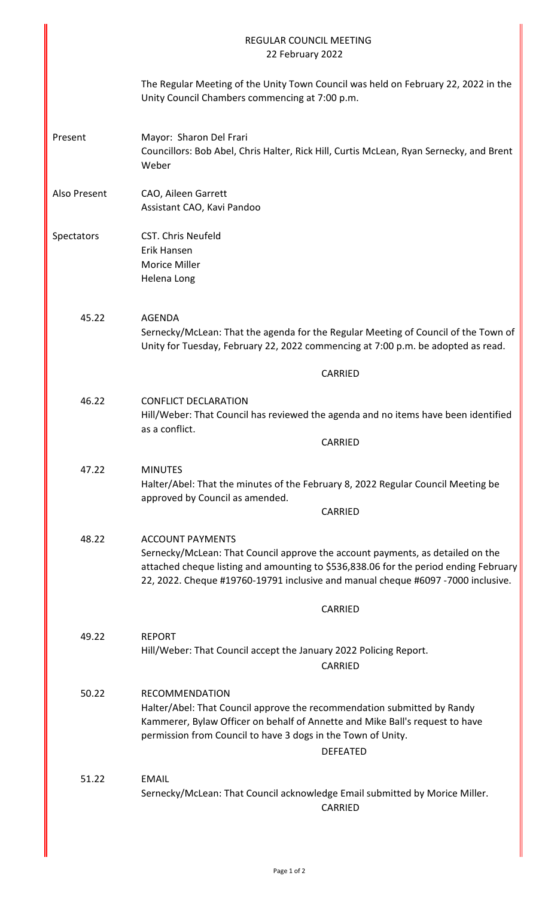| <b>REGULAR COUNCIL MEETING</b><br>22 February 2022 |                                                                                                                                                                                                                                                                                       |                                                                                               |  |
|----------------------------------------------------|---------------------------------------------------------------------------------------------------------------------------------------------------------------------------------------------------------------------------------------------------------------------------------------|-----------------------------------------------------------------------------------------------|--|
|                                                    | Unity Council Chambers commencing at 7:00 p.m.                                                                                                                                                                                                                                        | The Regular Meeting of the Unity Town Council was held on February 22, 2022 in the            |  |
| Present                                            | Mayor: Sharon Del Frari<br>Councillors: Bob Abel, Chris Halter, Rick Hill, Curtis McLean, Ryan Sernecky, and Brent<br>Weber                                                                                                                                                           |                                                                                               |  |
| Also Present                                       | CAO, Aileen Garrett<br>Assistant CAO, Kavi Pandoo                                                                                                                                                                                                                                     |                                                                                               |  |
| Spectators                                         | <b>CST. Chris Neufeld</b><br>Erik Hansen<br>Morice Miller<br>Helena Long                                                                                                                                                                                                              |                                                                                               |  |
| 45.22                                              | <b>AGENDA</b><br>Sernecky/McLean: That the agenda for the Regular Meeting of Council of the Town of<br>Unity for Tuesday, February 22, 2022 commencing at 7:00 p.m. be adopted as read.                                                                                               |                                                                                               |  |
|                                                    |                                                                                                                                                                                                                                                                                       | <b>CARRIED</b>                                                                                |  |
| 46.22                                              | <b>CONFLICT DECLARATION</b><br>as a conflict.                                                                                                                                                                                                                                         | Hill/Weber: That Council has reviewed the agenda and no items have been identified<br>CARRIED |  |
| 47.22                                              | <b>MINUTES</b><br>approved by Council as amended.                                                                                                                                                                                                                                     | Halter/Abel: That the minutes of the February 8, 2022 Regular Council Meeting be<br>CARRIED   |  |
| 48.22                                              | <b>ACCOUNT PAYMENTS</b><br>Sernecky/McLean: That Council approve the account payments, as detailed on the<br>attached cheque listing and amounting to \$536,838.06 for the period ending February<br>22, 2022. Cheque #19760-19791 inclusive and manual cheque #6097 -7000 inclusive. |                                                                                               |  |
|                                                    |                                                                                                                                                                                                                                                                                       | <b>CARRIED</b>                                                                                |  |
| 49.22                                              | <b>REPORT</b><br>Hill/Weber: That Council accept the January 2022 Policing Report.<br><b>CARRIED</b>                                                                                                                                                                                  |                                                                                               |  |
| 50.22                                              | <b>RECOMMENDATION</b><br>Halter/Abel: That Council approve the recommendation submitted by Randy<br>Kammerer, Bylaw Officer on behalf of Annette and Mike Ball's request to have<br>permission from Council to have 3 dogs in the Town of Unity.<br><b>DEFEATED</b>                   |                                                                                               |  |
| 51.22                                              | <b>EMAIL</b><br>Sernecky/McLean: That Council acknowledge Email submitted by Morice Miller.                                                                                                                                                                                           | <b>CARRIED</b>                                                                                |  |